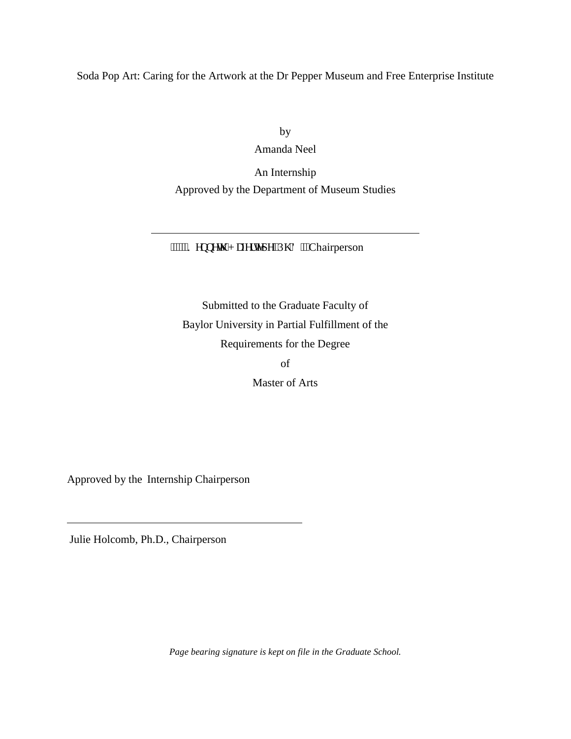Soda Pop Art: Caring for the Artwork at the Dr Pepper Museum and Free Enterprise Institute

by Amanda Neel An Internship

Approved by the Department of Museum Studies

"""""Ngppgy 'J chgtvgr g.'Rj (F 0'Chairperson

Submitted to the Graduate Faculty of Baylor University in Partial Fulfillment of the Requirements for the Degree of

Master of Arts

Approved by the Internship Chairperson

 $\overline{a}$ 

Julie Holcomb, Ph.D., Chairperson

 $\overline{a}$ 

*Page bearing signature is kept on file in the Graduate School.*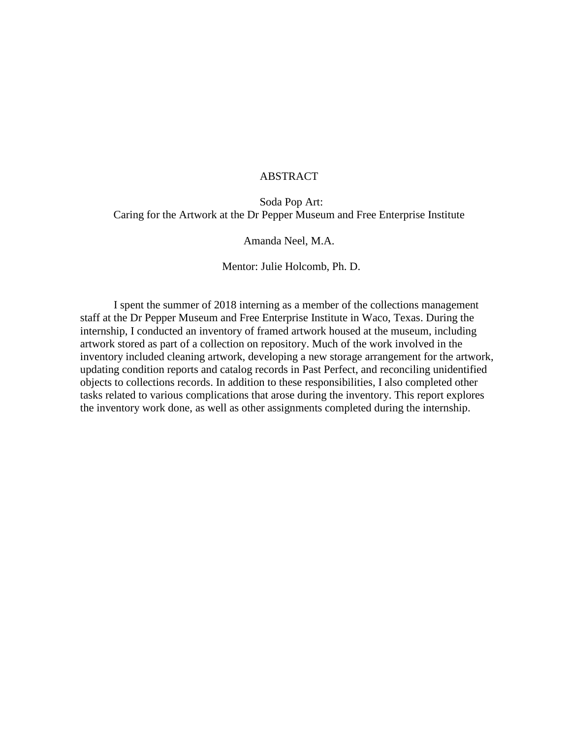## ABSTRACT

Soda Pop Art: Caring for the Artwork at the Dr Pepper Museum and Free Enterprise Institute

Amanda Neel, M.A.

Mentor: Julie Holcomb, Ph. D.

I spent the summer of 2018 interning as a member of the collections management staff at the Dr Pepper Museum and Free Enterprise Institute in Waco, Texas. During the internship, I conducted an inventory of framed artwork housed at the museum, including artwork stored as part of a collection on repository. Much of the work involved in the inventory included cleaning artwork, developing a new storage arrangement for the artwork, updating condition reports and catalog records in Past Perfect, and reconciling unidentified objects to collections records. In addition to these responsibilities, I also completed other tasks related to various complications that arose during the inventory. This report explores the inventory work done, as well as other assignments completed during the internship.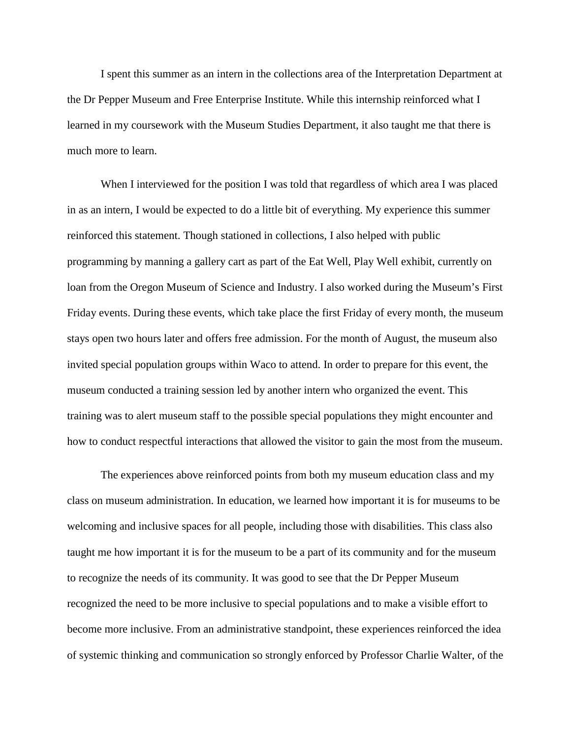I spent this summer as an intern in the collections area of the Interpretation Department at the Dr Pepper Museum and Free Enterprise Institute. While this internship reinforced what I learned in my coursework with the Museum Studies Department, it also taught me that there is much more to learn.

When I interviewed for the position I was told that regardless of which area I was placed in as an intern, I would be expected to do a little bit of everything. My experience this summer reinforced this statement. Though stationed in collections, I also helped with public programming by manning a gallery cart as part of the Eat Well, Play Well exhibit, currently on loan from the Oregon Museum of Science and Industry. I also worked during the Museum's First Friday events. During these events, which take place the first Friday of every month, the museum stays open two hours later and offers free admission. For the month of August, the museum also invited special population groups within Waco to attend. In order to prepare for this event, the museum conducted a training session led by another intern who organized the event. This training was to alert museum staff to the possible special populations they might encounter and how to conduct respectful interactions that allowed the visitor to gain the most from the museum.

The experiences above reinforced points from both my museum education class and my class on museum administration. In education, we learned how important it is for museums to be welcoming and inclusive spaces for all people, including those with disabilities. This class also taught me how important it is for the museum to be a part of its community and for the museum to recognize the needs of its community. It was good to see that the Dr Pepper Museum recognized the need to be more inclusive to special populations and to make a visible effort to become more inclusive. From an administrative standpoint, these experiences reinforced the idea of systemic thinking and communication so strongly enforced by Professor Charlie Walter, of the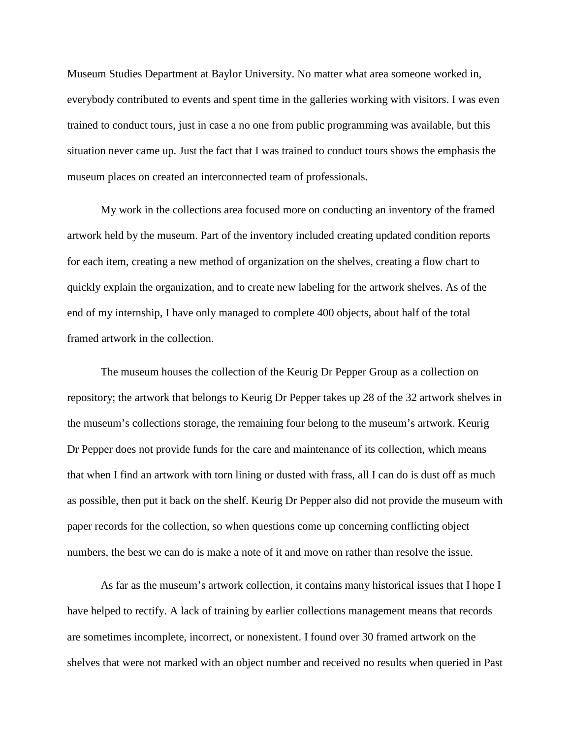Museum Studies Department at Baylor University. No matter what area someone worked in, everybody contributed to events and spent time in the galleries working with visitors. I was even trained to conduct tours, just in case a no one from public programming was available, but this situation never came up. Just the fact that I was trained to conduct tours shows the emphasis the museum places on created an interconnected team of professionals.

My work in the collections area focused more on conducting an inventory of the framed artwork held by the museum. Part of the inventory included creating updated condition reports for each item, creating a new method of organization on the shelves, creating a flow chart to quickly explain the organization, and to create new labeling for the artwork shelves. As of the end of my internship, I have only managed to complete 400 objects, about half of the total framed artwork in the collection.

The museum houses the collection of the Keurig Dr Pepper Group as a collection on repository; the artwork that belongs to Keurig Dr Pepper takes up 28 of the 32 artwork shelves in the museum's collections storage, the remaining four belong to the museum's artwork. Keurig Dr Pepper does not provide funds for the care and maintenance of its collection, which means that when I find an artwork with torn lining or dusted with frass, all I can do is dust off as much as possible, then put it back on the shelf. Keurig Dr Pepper also did not provide the museum with paper records for the collection, so when questions come up concerning conflicting object numbers, the best we can do is make a note of it and move on rather than resolve the issue.

As far as the museum's artwork collection, it contains many historical issues that I hope I have helped to rectify. A lack of training by earlier collections management means that records are sometimes incomplete, incorrect, or nonexistent. I found over 30 framed artwork on the shelves that were not marked with an object number and received no results when queried in Past